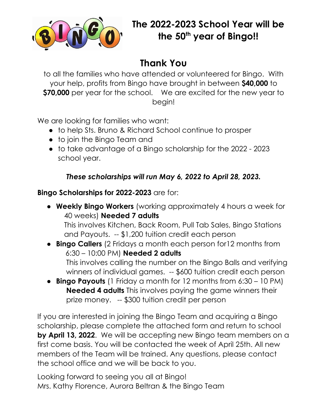

## **Thank You**

to all the families who have attended or volunteered for Bingo. With your help, profits from Bingo have brought in between **\$40,000** to **\$70,000** per year for the school. We are excited for the new year to begin!

We are looking for families who want:

- to help Sts. Bruno & Richard School continue to prosper
- to join the Bingo Team and
- to take advantage of a Bingo scholarship for the 2022 2023 school year.

## *These scholarships will run May 6, 2022 to April 28, 2023.*

## **Bingo Scholarships for 2022-2023** are for:

- **Weekly Bingo Workers** (working approximately 4 hours a week for 40 weeks) **Needed 7 adults** This involves Kitchen, Back Room, Pull Tab Sales, Bingo Stations and Payouts. -- \$1,200 tuition credit each person
- **Bingo Callers** (2 Fridays a month each person for12 months from 6:30 – 10:00 PM) **Needed 2 adults** This involves calling the number on the Bingo Balls and verifying winners of individual games. -- \$600 tuition credit each person
- **Bingo Payouts** (1 Friday a month for 12 months from 6:30 10 PM) **Needed 4 adults** This involves paying the game winners their prize money. -- \$300 tuition credit per person

If you are interested in joining the Bingo Team and acquiring a Bingo scholarship, please complete the attached form and return to school **by April 13, 2022**. We will be accepting new Bingo team members on a first come basis. You will be contacted the week of April 25th. All new members of the Team will be trained. Any questions, please contact the school office and we will be back to you.

Looking forward to seeing you all at Bingo! Mrs. Kathy Florence, Aurora Beltran & the Bingo Team